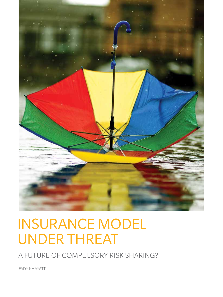

# INSURANCE MODEL UNDER THREAT

A FUTURE OF COMPULSORY RISK SHARING?

FADY KHAYATT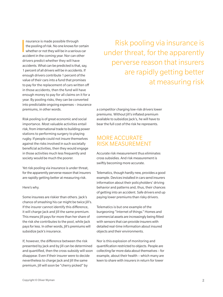$\frac{1}{2}$ nsurance is made possible through the pooling of risk. No one knows for certain whether or not they will be in a serious car accident in the coming year. Nor can other drivers predict whether they will have accidents. What can be predicted is that, say, 1 percent of all drivers will be in accidents. If enough drivers contribute 1 percent of the value of their cars into a fund that promises to pay for the replacement of cars written off in those accidents, then the fund will have enough money to pay for all claims on it for a year. By pooling risks, they can be converted into predictable ongoing expenses – insurance premiums, in other words.

Risk pooling is of great economic and social importance. Most valuable activities entail risk, from international trade to building power stations to performing surgery to playing rugby. If people could not insure themselves against the risks involved in such societally beneficial activities, then they would engage in those activities much less frequently and society would be much the poorer.

Yet risk pooling via insurance is under threat, for the apparently perverse reason that insurers are rapidly getting better at measuring risk.

Here's why.

Some insurees are riskier than others. Jack's chance of smashing his car might be twice Jill's. If the insurer cannot identify this difference, it will charge Jack and Jill the same premium. This means Jill pays for more than her share of the risk she contributes to the pool, while Jack pays for less. In other words, Jill's premiums will subsidize Jack's insurance.

If, however, the difference between the risk presented by Jack and by Jill can be determined and quantified, then the cross-subsidy will soon disappear. Even if their insurer were to decide nevertheless to charge Jack and Jill the same premium, Jill will soon be "cherry picked" by

Risk pooling via insurance is under threat, for the apparently perverse reason that insurers are rapidly getting better at measuring risk

a competitor charging low-risk drivers lower premiums. Without Jill's inflated premium available to subsidize Jack's, he will have to bear the full cost of the risk he represents.

## MORE ACCURATE RISK MEASUREMENT

Accurate risk measurement thus eliminates cross subsidies. And risk measurement is swiftly becoming more accurate.

Telematics, though hardly new, provides a good example. Devices installed in cars send insurers information about their policyholders' driving behavior and patterns and, thus, their chances of getting into an accident. Safe drivers end up paying lower premiums than risky drivers.

Telematics is but one example of the burgeoning "Internet of things." Homes and commercial assets are increasingly being fitted with sensors that can provide insurers with detailed real-time information about insured objects and their environments.

Nor is this explosion of monitoring and quantification restricted to objects. People are collecting far more data about themselves – for example, about their health – which many are keen to share with insurers in return for lower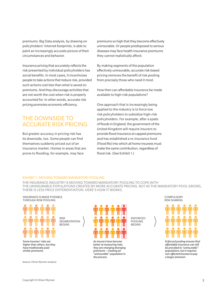premiums. Big Data analysis, by drawing on policyholders' Internet footprints, is able to paint an increasingly accurate picture of their circumstances and behavior.

Insurance pricing that accurately reflects the risk presented by individual policyholders has social benefits. In most cases, it incentivizes people to take actions that reduce risk, provided such actions cost less than what is saved on premiums. And they discourage activities that are not worth the cost when risk is properly accounted for. In other words, accurate risk pricing promotes economic efficiency.

## THE DOWNSIDE TO ACCURATE RISK PRICING

But greater accuracy in pricing risk has its downside, too. Some people can find themselves suddenly priced out of an insurance market. Homes in areas that are prone to flooding, for example, may face

premiums so high that they become effectively uninsurable. Or people predisposed to serious diseases may face health insurance premiums they cannot realistically afford.

By making segments of the population effectively uninsurable, accurate risk-based pricing removes the benefit of risk pooling from precisely those who need it most.

How then can affordable insurance be made available to high-risk populations?

One approach that is increasingly being applied to the industry is to force low risk policyholders to subsidize high-risk policyholders. For example, after a spate of floods in England, the government of the United Kingdom will require insurers to provide flood insurance at capped premiums and has established a re-insurance fund (Flood Re) into which all home insurees must make the same contribution, regardless of flood risk. (See Exhibit 1.)

### Exhibit 1: MOVING TOWARD MANDATORY POOLING

RISK

SEGMENTATION BEGINS

THE INSURANCE INDUSTRY IS MOVING TOWARD MANDATORY POOLING TO COPE WITH THE UNINSURABLE POPULATIONS CREATED BY MORE ACCURATE PRICING. BUT AS THE MANDATORY POOL GROWS, THERE IS LESS PRICE DIFFERENTIATION. HERE'S HOW IT WORKS:

#### INSURANCE IS MADE POSSIBLE THROUGH RISK POOLING



*Some insurees' risks are higher than others, but they have traditionally paid similar premiums.*

Source: Oliver Wyman analysis



*As insurers have become better at measuring risks, they are charging diverging premiums – creating an "uninsurable" population in the process.* 

ENFORCED POOLING BEGINS

**COMPULSORY** RISK SHARING



*Enforced pooling ensures that affordable insurance can still be provided to "uninsurable" populations, but it requires non-affected insurees to pay a larger premium.*